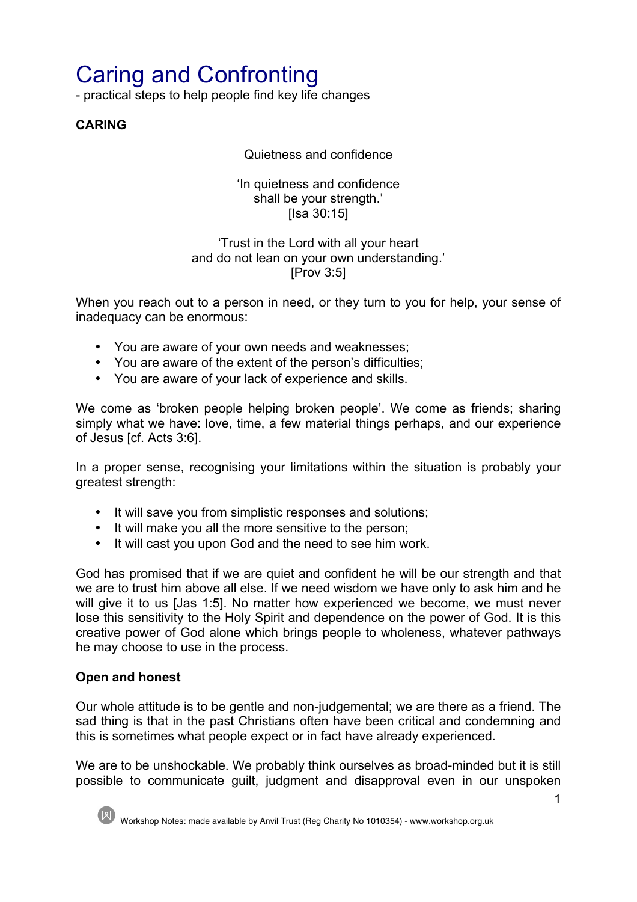# Caring and Confronting

- practical steps to help people find key life changes

**CARING**

Quietness and confidence

'In quietness and confidence shall be your strength.' [Isa 30:15]

#### 'Trust in the Lord with all your heart and do not lean on your own understanding.' [Prov 3:5]

When you reach out to a person in need, or they turn to you for help, your sense of inadequacy can be enormous:

- You are aware of your own needs and weaknesses;
- You are aware of the extent of the person's difficulties;
- You are aware of your lack of experience and skills.

We come as 'broken people helping broken people'. We come as friends; sharing simply what we have: love, time, a few material things perhaps, and our experience of Jesus [cf. Acts 3:6].

In a proper sense, recognising your limitations within the situation is probably your greatest strength:

- It will save you from simplistic responses and solutions;
- It will make you all the more sensitive to the person;
- It will cast you upon God and the need to see him work.

God has promised that if we are quiet and confident he will be our strength and that we are to trust him above all else. If we need wisdom we have only to ask him and he will give it to us [Jas 1:5]. No matter how experienced we become, we must never lose this sensitivity to the Holy Spirit and dependence on the power of God. It is this creative power of God alone which brings people to wholeness, whatever pathways he may choose to use in the process.

## **Open and honest**

Our whole attitude is to be gentle and non-judgemental; we are there as a friend. The sad thing is that in the past Christians often have been critical and condemning and this is sometimes what people expect or in fact have already experienced.

We are to be unshockable. We probably think ourselves as broad-minded but it is still possible to communicate guilt, judgment and disapproval even in our unspoken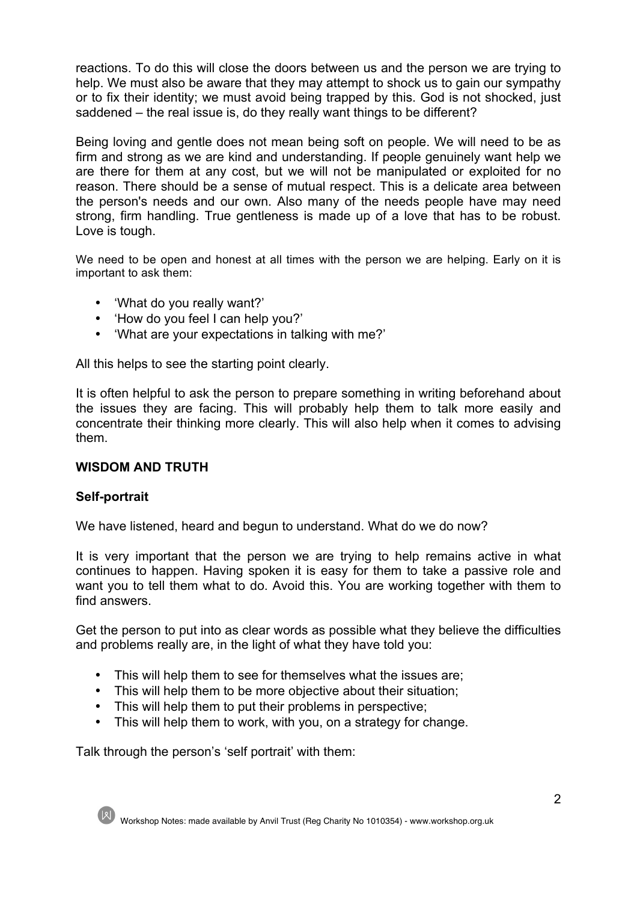reactions. To do this will close the doors between us and the person we are trying to help. We must also be aware that they may attempt to shock us to gain our sympathy or to fix their identity; we must avoid being trapped by this. God is not shocked, just saddened – the real issue is, do they really want things to be different?

Being loving and gentle does not mean being soft on people. We will need to be as firm and strong as we are kind and understanding. If people genuinely want help we are there for them at any cost, but we will not be manipulated or exploited for no reason. There should be a sense of mutual respect. This is a delicate area between the person's needs and our own. Also many of the needs people have may need strong, firm handling. True gentleness is made up of a love that has to be robust. Love is tough.

We need to be open and honest at all times with the person we are helping. Early on it is important to ask them:

- 'What do you really want?'
- 'How do you feel I can help you?'
- 'What are your expectations in talking with me?'

All this helps to see the starting point clearly.

It is often helpful to ask the person to prepare something in writing beforehand about the issues they are facing. This will probably help them to talk more easily and concentrate their thinking more clearly. This will also help when it comes to advising them.

#### **WISDOM AND TRUTH**

#### **Self-portrait**

We have listened, heard and begun to understand. What do we do now?

It is very important that the person we are trying to help remains active in what continues to happen. Having spoken it is easy for them to take a passive role and want you to tell them what to do. Avoid this. You are working together with them to find answers.

Get the person to put into as clear words as possible what they believe the difficulties and problems really are, in the light of what they have told you:

- This will help them to see for themselves what the issues are;
- This will help them to be more objective about their situation;
- This will help them to put their problems in perspective;
- This will help them to work, with you, on a strategy for change.

Talk through the person's 'self portrait' with them: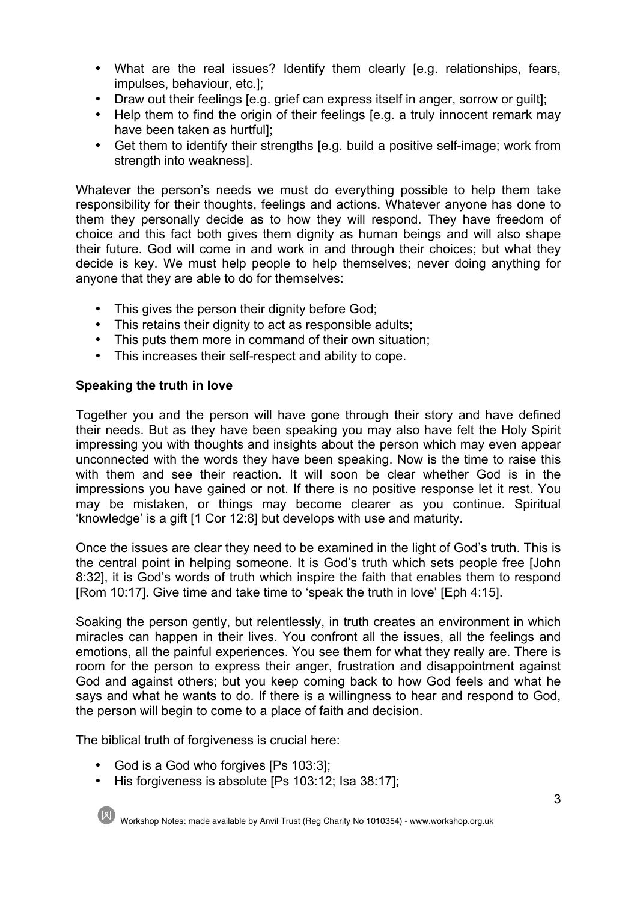- What are the real issues? Identify them clearly [e.g. relationships, fears, impulses, behaviour, etc.];
- Draw out their feelings [e.g. grief can express itself in anger, sorrow or guilt];
- Help them to find the origin of their feelings [e.g. a truly innocent remark may have been taken as hurtful];
- Get them to identify their strengths [e.g. build a positive self-image; work from strength into weakness].

Whatever the person's needs we must do everything possible to help them take responsibility for their thoughts, feelings and actions. Whatever anyone has done to them they personally decide as to how they will respond. They have freedom of choice and this fact both gives them dignity as human beings and will also shape their future. God will come in and work in and through their choices; but what they decide is key. We must help people to help themselves; never doing anything for anyone that they are able to do for themselves:

- This gives the person their dignity before God;
- This retains their dignity to act as responsible adults;
- This puts them more in command of their own situation;
- This increases their self-respect and ability to cope.

## **Speaking the truth in love**

Together you and the person will have gone through their story and have defined their needs. But as they have been speaking you may also have felt the Holy Spirit impressing you with thoughts and insights about the person which may even appear unconnected with the words they have been speaking. Now is the time to raise this with them and see their reaction. It will soon be clear whether God is in the impressions you have gained or not. If there is no positive response let it rest. You may be mistaken, or things may become clearer as you continue. Spiritual 'knowledge' is a gift [1 Cor 12:8] but develops with use and maturity.

Once the issues are clear they need to be examined in the light of God's truth. This is the central point in helping someone. It is God's truth which sets people free [John 8:32], it is God's words of truth which inspire the faith that enables them to respond [Rom 10:17]. Give time and take time to 'speak the truth in love' [Eph 4:15].

Soaking the person gently, but relentlessly, in truth creates an environment in which miracles can happen in their lives. You confront all the issues, all the feelings and emotions, all the painful experiences. You see them for what they really are. There is room for the person to express their anger, frustration and disappointment against God and against others; but you keep coming back to how God feels and what he says and what he wants to do. If there is a willingness to hear and respond to God, the person will begin to come to a place of faith and decision.

The biblical truth of forgiveness is crucial here:

- God is a God who forgives [Ps 103:3];
- His forgiveness is absolute [Ps 103:12; Isa 38:17];

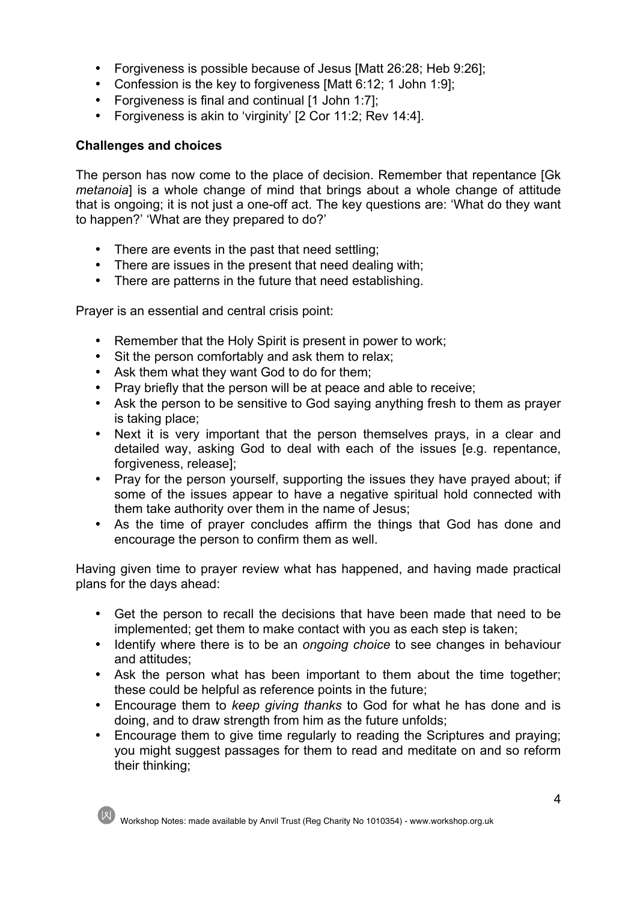- Forgiveness is possible because of Jesus [Matt 26:28; Heb 9:26];
- Confession is the key to forgiveness [Matt 6:12; 1 John 1:9];
- Forgiveness is final and continual [1 John 1:7];
- Forgiveness is akin to 'virginity' [2 Cor 11:2; Rev 14:4].

## **Challenges and choices**

The person has now come to the place of decision. Remember that repentance [Gk *metanoia*] is a whole change of mind that brings about a whole change of attitude that is ongoing; it is not just a one-off act. The key questions are: 'What do they want to happen?' 'What are they prepared to do?'

- There are events in the past that need settling;
- There are issues in the present that need dealing with;
- There are patterns in the future that need establishing.

Prayer is an essential and central crisis point:

- Remember that the Holy Spirit is present in power to work;
- Sit the person comfortably and ask them to relax;
- Ask them what they want God to do for them;
- Pray briefly that the person will be at peace and able to receive;
- Ask the person to be sensitive to God saying anything fresh to them as prayer is taking place;
- Next it is very important that the person themselves prays, in a clear and detailed way, asking God to deal with each of the issues [e.g. repentance, forgiveness, release];
- Pray for the person yourself, supporting the issues they have prayed about; if some of the issues appear to have a negative spiritual hold connected with them take authority over them in the name of Jesus;
- As the time of prayer concludes affirm the things that God has done and encourage the person to confirm them as well.

Having given time to prayer review what has happened, and having made practical plans for the days ahead:

- Get the person to recall the decisions that have been made that need to be implemented; get them to make contact with you as each step is taken;
- Identify where there is to be an *ongoing choice* to see changes in behaviour and attitudes;
- Ask the person what has been important to them about the time together; these could be helpful as reference points in the future;
- Encourage them to *keep giving thanks* to God for what he has done and is doing, and to draw strength from him as the future unfolds;
- Encourage them to give time regularly to reading the Scriptures and praying; you might suggest passages for them to read and meditate on and so reform their thinking;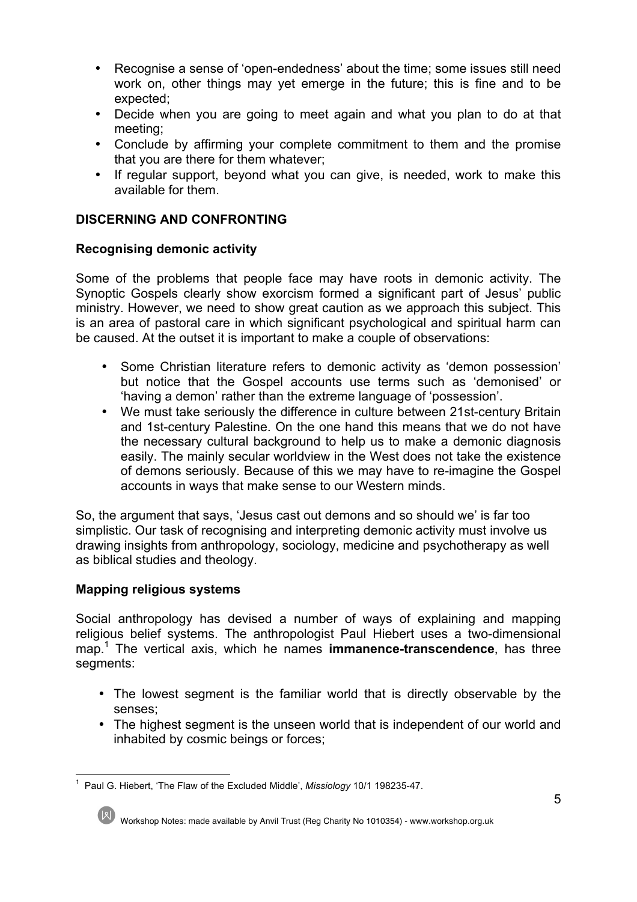- Recognise a sense of 'open-endedness' about the time; some issues still need work on, other things may yet emerge in the future; this is fine and to be expected;
- Decide when you are going to meet again and what you plan to do at that meeting;
- Conclude by affirming your complete commitment to them and the promise that you are there for them whatever;
- If regular support, beyond what you can give, is needed, work to make this available for them.

## **DISCERNING AND CONFRONTING**

## **Recognising demonic activity**

Some of the problems that people face may have roots in demonic activity. The Synoptic Gospels clearly show exorcism formed a significant part of Jesus' public ministry. However, we need to show great caution as we approach this subject. This is an area of pastoral care in which significant psychological and spiritual harm can be caused. At the outset it is important to make a couple of observations:

- Some Christian literature refers to demonic activity as 'demon possession' but notice that the Gospel accounts use terms such as 'demonised' or 'having a demon' rather than the extreme language of 'possession'.
- We must take seriously the difference in culture between 21st-century Britain and 1st-century Palestine. On the one hand this means that we do not have the necessary cultural background to help us to make a demonic diagnosis easily. The mainly secular worldview in the West does not take the existence of demons seriously. Because of this we may have to re-imagine the Gospel accounts in ways that make sense to our Western minds.

So, the argument that says, 'Jesus cast out demons and so should we' is far too simplistic. Our task of recognising and interpreting demonic activity must involve us drawing insights from anthropology, sociology, medicine and psychotherapy as well as biblical studies and theology.

## **Mapping religious systems**

Social anthropology has devised a number of ways of explaining and mapping religious belief systems. The anthropologist Paul Hiebert uses a two-dimensional map.1 The vertical axis, which he names **immanence-transcendence**, has three segments:

- The lowest segment is the familiar world that is directly observable by the senses;
- The highest segment is the unseen world that is independent of our world and inhabited by cosmic beings or forces;

 $\frac{1}{1}$ <sup>1</sup> Paul G. Hiebert, 'The Flaw of the Excluded Middle', *Missiology* 10/1 198235-47.



Workshop Notes: made available by Anvil Trust (Reg Charity No 1010354) - www.workshop.org.uk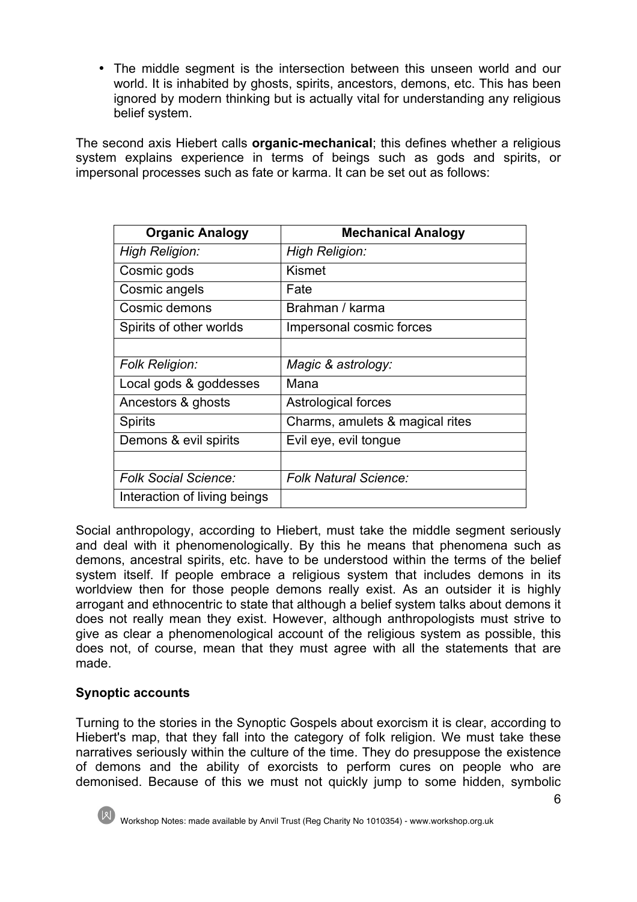• The middle segment is the intersection between this unseen world and our world. It is inhabited by ghosts, spirits, ancestors, demons, etc. This has been ignored by modern thinking but is actually vital for understanding any religious belief system.

The second axis Hiebert calls **organic-mechanical**; this defines whether a religious system explains experience in terms of beings such as gods and spirits, or impersonal processes such as fate or karma. It can be set out as follows:

| <b>Organic Analogy</b>       | <b>Mechanical Analogy</b>       |
|------------------------------|---------------------------------|
| High Religion:               | High Religion:                  |
| Cosmic gods                  | Kismet                          |
| Cosmic angels                | Fate                            |
| Cosmic demons                | Brahman / karma                 |
| Spirits of other worlds      | Impersonal cosmic forces        |
|                              |                                 |
| <b>Folk Religion:</b>        | Magic & astrology:              |
| Local gods & goddesses       | Mana                            |
| Ancestors & ghosts           | Astrological forces             |
| <b>Spirits</b>               | Charms, amulets & magical rites |
| Demons & evil spirits        | Evil eye, evil tongue           |
|                              |                                 |
| <b>Folk Social Science:</b>  | <b>Folk Natural Science:</b>    |
| Interaction of living beings |                                 |

Social anthropology, according to Hiebert, must take the middle segment seriously and deal with it phenomenologically. By this he means that phenomena such as demons, ancestral spirits, etc. have to be understood within the terms of the belief system itself. If people embrace a religious system that includes demons in its worldview then for those people demons really exist. As an outsider it is highly arrogant and ethnocentric to state that although a belief system talks about demons it does not really mean they exist. However, although anthropologists must strive to give as clear a phenomenological account of the religious system as possible, this does not, of course, mean that they must agree with all the statements that are made.

## **Synoptic accounts**

Turning to the stories in the Synoptic Gospels about exorcism it is clear, according to Hiebert's map, that they fall into the category of folk religion. We must take these narratives seriously within the culture of the time. They do presuppose the existence of demons and the ability of exorcists to perform cures on people who are demonised. Because of this we must not quickly jump to some hidden, symbolic

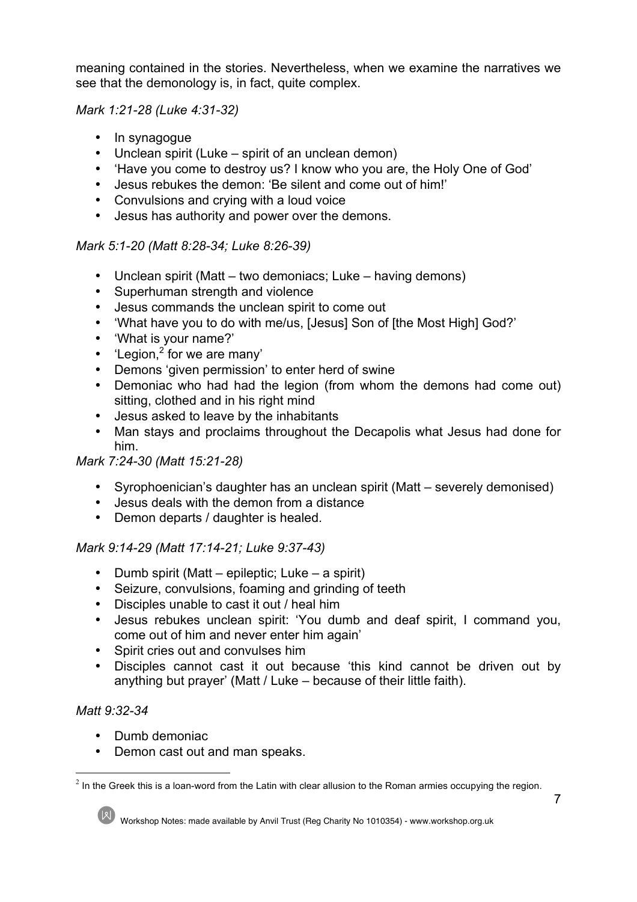meaning contained in the stories. Nevertheless, when we examine the narratives we see that the demonology is, in fact, quite complex.

### *Mark 1:21-28 (Luke 4:31-32)*

- In synagogue
- Unclean spirit (Luke spirit of an unclean demon)
- 'Have you come to destroy us? I know who you are, the Holy One of God'
- Jesus rebukes the demon: 'Be silent and come out of him!'
- Convulsions and crying with a loud voice
- Jesus has authority and power over the demons.

## *Mark 5:1-20 (Matt 8:28-34; Luke 8:26-39)*

- Unclean spirit (Matt two demoniacs; Luke having demons)
- Superhuman strength and violence
- Jesus commands the unclean spirit to come out
- 'What have you to do with me/us, [Jesus] Son of [the Most High] God?'
- 'What is your name?'
- 'Legion, $2^{2}$  for we are many'
- Demons 'given permission' to enter herd of swine
- Demoniac who had had the legion (from whom the demons had come out) sitting, clothed and in his right mind
- Jesus asked to leave by the inhabitants
- Man stays and proclaims throughout the Decapolis what Jesus had done for him.

# *Mark 7:24-30 (Matt 15:21-28)*

- Syrophoenician's daughter has an unclean spirit (Matt severely demonised)
- Jesus deals with the demon from a distance
- Demon departs / daughter is healed.

## *Mark 9:14-29 (Matt 17:14-21; Luke 9:37-43)*

- Dumb spirit (Matt epileptic; Luke a spirit)
- Seizure, convulsions, foaming and grinding of teeth
- Disciples unable to cast it out / heal him
- Jesus rebukes unclean spirit: 'You dumb and deaf spirit, I command you, come out of him and never enter him again'
- Spirit cries out and convulses him
- Disciples cannot cast it out because 'this kind cannot be driven out by anything but prayer' (Matt / Luke – because of their little faith).

# *Matt 9:32-34*

- Dumb demoniac
- Demon cast out and man speaks.

 $2$  In the Greek this is a loan-word from the Latin with clear allusion to the Roman armies occupying the region.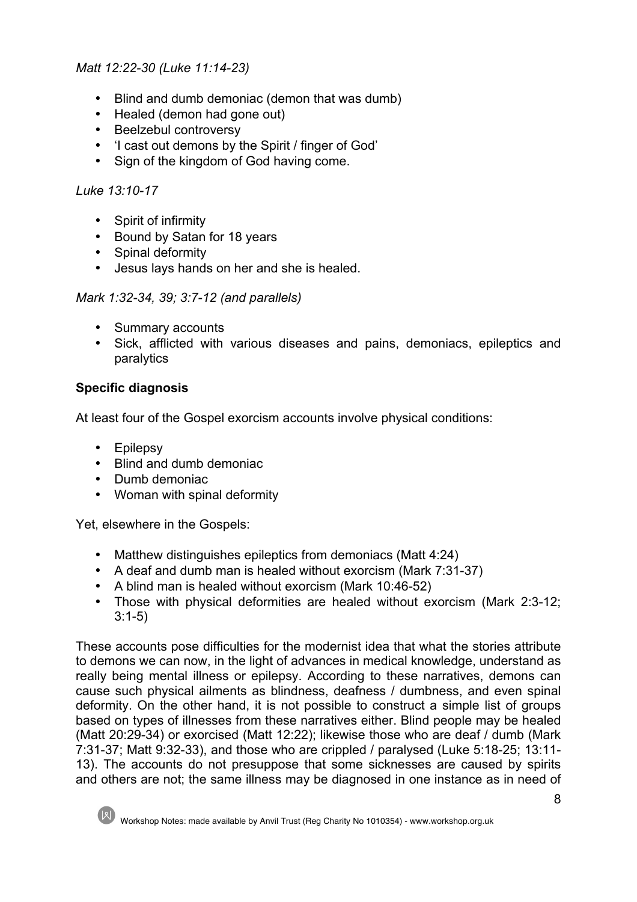## *Matt 12:22-30 (Luke 11:14-23)*

- Blind and dumb demoniac (demon that was dumb)
- Healed (demon had gone out)
- Beelzebul controversy
- 'I cast out demons by the Spirit / finger of God'
- Sign of the kingdom of God having come.

## *Luke 13:10-17*

- Spirit of infirmity
- Bound by Satan for 18 years
- Spinal deformity
- Jesus lays hands on her and she is healed.

*Mark 1:32-34, 39; 3:7-12 (and parallels)*

- Summary accounts
- Sick, afflicted with various diseases and pains, demoniacs, epileptics and paralytics

# **Specific diagnosis**

At least four of the Gospel exorcism accounts involve physical conditions:

- Epilepsy
- Blind and dumb demoniac
- Dumb demoniac
- Woman with spinal deformity

Yet, elsewhere in the Gospels:

- Matthew distinguishes epileptics from demoniacs (Matt 4:24)
- A deaf and dumb man is healed without exorcism (Mark 7:31-37)
- A blind man is healed without exorcism (Mark 10:46-52)
- Those with physical deformities are healed without exorcism (Mark 2:3-12; 3:1-5)

These accounts pose difficulties for the modernist idea that what the stories attribute to demons we can now, in the light of advances in medical knowledge, understand as really being mental illness or epilepsy. According to these narratives, demons can cause such physical ailments as blindness, deafness / dumbness, and even spinal deformity. On the other hand, it is not possible to construct a simple list of groups based on types of illnesses from these narratives either. Blind people may be healed (Matt 20:29-34) or exorcised (Matt 12:22); likewise those who are deaf / dumb (Mark 7:31-37; Matt 9:32-33), and those who are crippled / paralysed (Luke 5:18-25; 13:11- 13). The accounts do not presuppose that some sicknesses are caused by spirits and others are not; the same illness may be diagnosed in one instance as in need of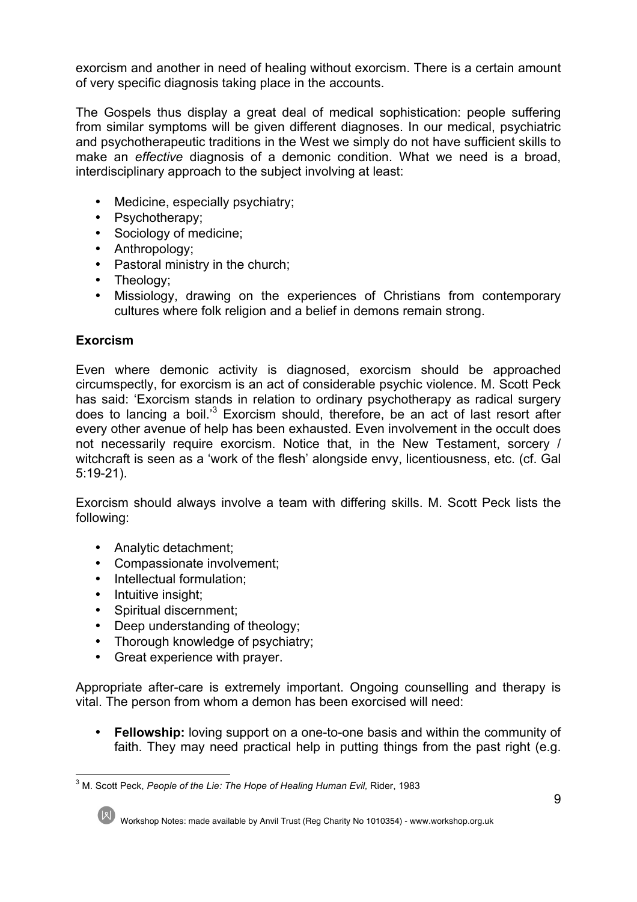exorcism and another in need of healing without exorcism. There is a certain amount of very specific diagnosis taking place in the accounts.

The Gospels thus display a great deal of medical sophistication: people suffering from similar symptoms will be given different diagnoses. In our medical, psychiatric and psychotherapeutic traditions in the West we simply do not have sufficient skills to make an *effective* diagnosis of a demonic condition. What we need is a broad, interdisciplinary approach to the subject involving at least:

- Medicine, especially psychiatry;
- Psychotherapy;
- Sociology of medicine;
- Anthropology;
- Pastoral ministry in the church;
- Theology;
- Missiology, drawing on the experiences of Christians from contemporary cultures where folk religion and a belief in demons remain strong.

## **Exorcism**

Even where demonic activity is diagnosed, exorcism should be approached circumspectly, for exorcism is an act of considerable psychic violence. M. Scott Peck has said: 'Exorcism stands in relation to ordinary psychotherapy as radical surgery does to lancing a boil.'<sup>3</sup> Exorcism should, therefore, be an act of last resort after every other avenue of help has been exhausted. Even involvement in the occult does not necessarily require exorcism. Notice that, in the New Testament, sorcery / witchcraft is seen as a 'work of the flesh' alongside envy, licentiousness, etc. (cf. Gal 5:19-21).

Exorcism should always involve a team with differing skills. M. Scott Peck lists the following:

- Analytic detachment;
- Compassionate involvement;
- Intellectual formulation;
- Intuitive insight;
- Spiritual discernment;
- Deep understanding of theology;
- Thorough knowledge of psychiatry;
- Great experience with prayer.

Appropriate after-care is extremely important. Ongoing counselling and therapy is vital. The person from whom a demon has been exorcised will need:

• **Fellowship:** loving support on a one-to-one basis and within the community of faith. They may need practical help in putting things from the past right (e.g.

<sup>&</sup>lt;sup>3</sup> M. Scott Peck, People of the Lie: The Hope of Healing Human Evil, Rider, 1983

Workshop Notes: made available by Anvil Trust (Reg Charity No 1010354) - www.workshop.org.uk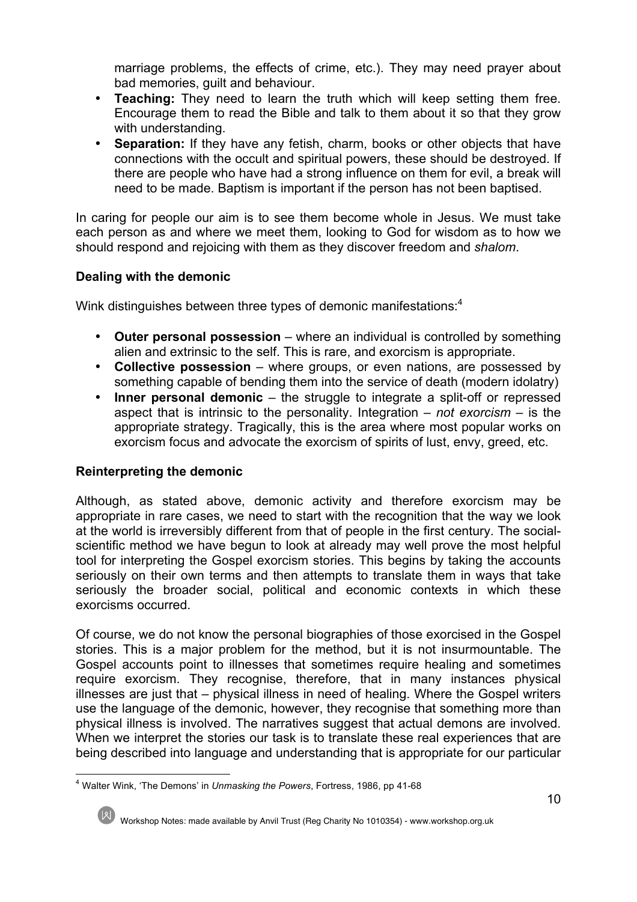marriage problems, the effects of crime, etc.). They may need prayer about bad memories, guilt and behaviour.

- **Teaching:** They need to learn the truth which will keep setting them free. Encourage them to read the Bible and talk to them about it so that they grow with understanding.
- **Separation:** If they have any fetish, charm, books or other objects that have connections with the occult and spiritual powers, these should be destroyed. If there are people who have had a strong influence on them for evil, a break will need to be made. Baptism is important if the person has not been baptised.

In caring for people our aim is to see them become whole in Jesus. We must take each person as and where we meet them, looking to God for wisdom as to how we should respond and rejoicing with them as they discover freedom and *shalom*.

## **Dealing with the demonic**

Wink distinguishes between three types of demonic manifestations:<sup>4</sup>

- **Outer personal possession** where an individual is controlled by something alien and extrinsic to the self. This is rare, and exorcism is appropriate.
- **Collective possession** where groups, or even nations, are possessed by something capable of bending them into the service of death (modern idolatry)
- **Inner personal demonic** the struggle to integrate a split-off or repressed aspect that is intrinsic to the personality. Integration – *not exorcism* – is the appropriate strategy. Tragically, this is the area where most popular works on exorcism focus and advocate the exorcism of spirits of lust, envy, greed, etc.

## **Reinterpreting the demonic**

Although, as stated above, demonic activity and therefore exorcism may be appropriate in rare cases, we need to start with the recognition that the way we look at the world is irreversibly different from that of people in the first century. The socialscientific method we have begun to look at already may well prove the most helpful tool for interpreting the Gospel exorcism stories. This begins by taking the accounts seriously on their own terms and then attempts to translate them in ways that take seriously the broader social, political and economic contexts in which these exorcisms occurred.

Of course, we do not know the personal biographies of those exorcised in the Gospel stories. This is a major problem for the method, but it is not insurmountable. The Gospel accounts point to illnesses that sometimes require healing and sometimes require exorcism. They recognise, therefore, that in many instances physical illnesses are just that – physical illness in need of healing. Where the Gospel writers use the language of the demonic, however, they recognise that something more than physical illness is involved. The narratives suggest that actual demons are involved. When we interpret the stories our task is to translate these real experiences that are being described into language and understanding that is appropriate for our particular

 <sup>4</sup> Walter Wink, 'The Demons' in *Unmasking the Powers*, Fortress, 1986, pp 41-68

Workshop Notes: made available by Anvil Trust (Reg Charity No 1010354) - www.workshop.org.uk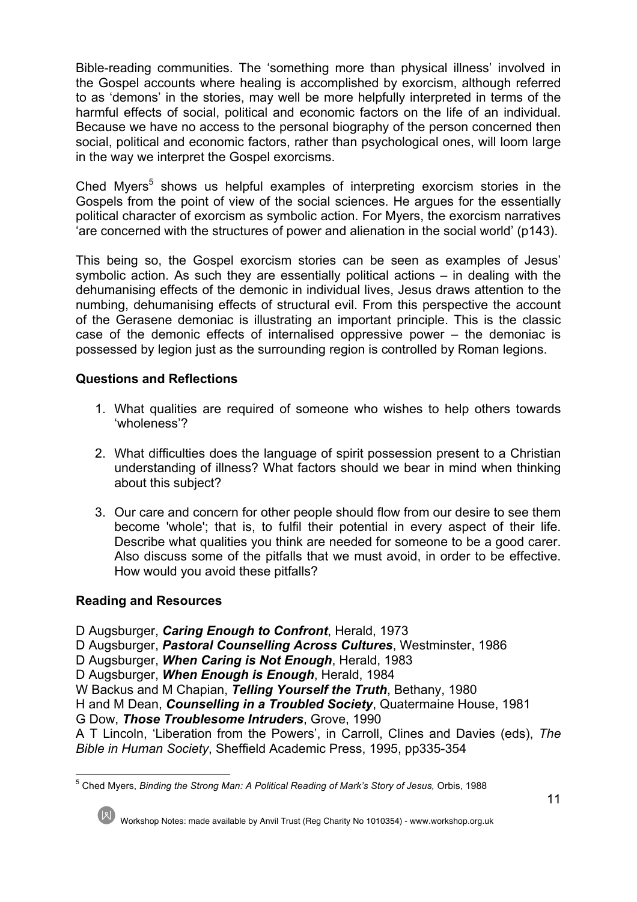Bible-reading communities. The 'something more than physical illness' involved in the Gospel accounts where healing is accomplished by exorcism, although referred to as 'demons' in the stories, may well be more helpfully interpreted in terms of the harmful effects of social, political and economic factors on the life of an individual. Because we have no access to the personal biography of the person concerned then social, political and economic factors, rather than psychological ones, will loom large in the way we interpret the Gospel exorcisms.

Ched Myers<sup>5</sup> shows us helpful examples of interpreting exorcism stories in the Gospels from the point of view of the social sciences. He argues for the essentially political character of exorcism as symbolic action. For Myers, the exorcism narratives 'are concerned with the structures of power and alienation in the social world' (p143).

This being so, the Gospel exorcism stories can be seen as examples of Jesus' symbolic action. As such they are essentially political actions – in dealing with the dehumanising effects of the demonic in individual lives, Jesus draws attention to the numbing, dehumanising effects of structural evil. From this perspective the account of the Gerasene demoniac is illustrating an important principle. This is the classic case of the demonic effects of internalised oppressive power – the demoniac is possessed by legion just as the surrounding region is controlled by Roman legions.

## **Questions and Reflections**

- 1. What qualities are required of someone who wishes to help others towards 'wholeness'?
- 2. What difficulties does the language of spirit possession present to a Christian understanding of illness? What factors should we bear in mind when thinking about this subject?
- 3. Our care and concern for other people should flow from our desire to see them become 'whole'; that is, to fulfil their potential in every aspect of their life. Describe what qualities you think are needed for someone to be a good carer. Also discuss some of the pitfalls that we must avoid, in order to be effective. How would you avoid these pitfalls?

## **Reading and Resources**

D Augsburger, *Caring Enough to Confront*, Herald, 1973

D Augsburger, *Pastoral Counselling Across Cultures*, Westminster, 1986

D Augsburger, *When Caring is Not Enough*, Herald, 1983

D Augsburger, *When Enough is Enough*, Herald, 1984

W Backus and M Chapian, *Telling Yourself the Truth*, Bethany, 1980

H and M Dean, *Counselling in a Troubled Society*, Quatermaine House, 1981

G Dow, *Those Troublesome Intruders*, Grove, 1990

A T Lincoln, 'Liberation from the Powers', in Carroll, Clines and Davies (eds), *The Bible in Human Society*, Sheffield Academic Press, 1995, pp335-354

 <sup>5</sup> Ched Myers, *Binding the Strong Man: A Political Reading of Mark's Story of Jesus,* Orbis, 1988